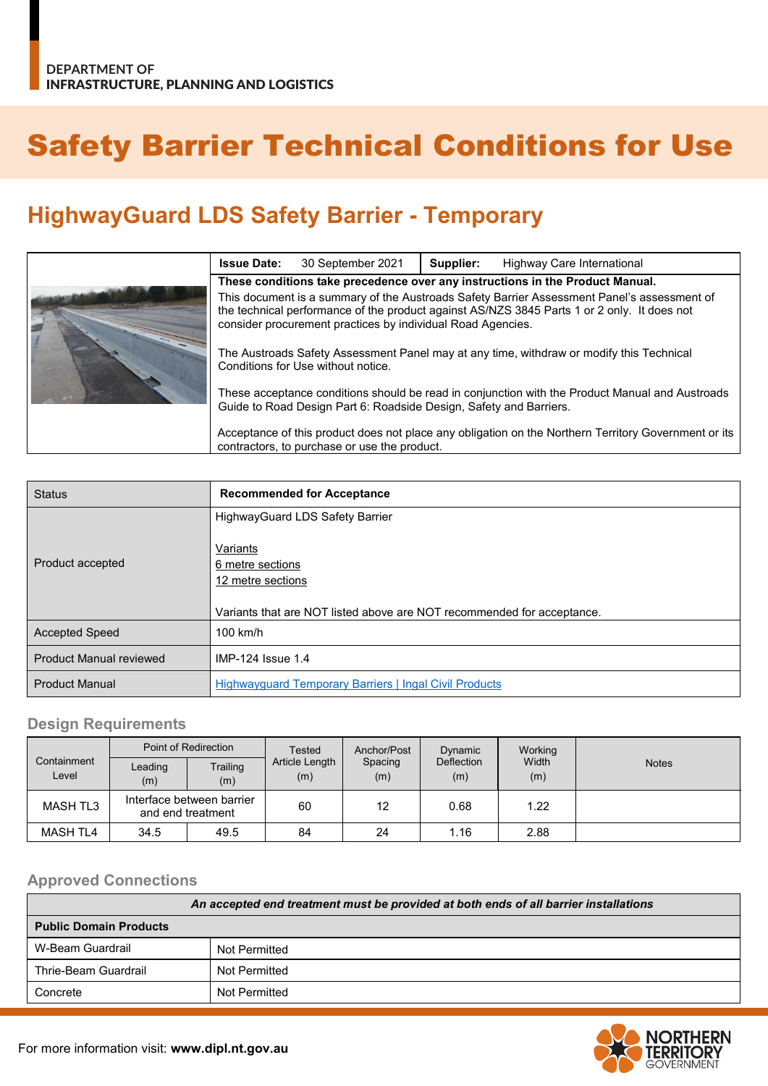# Safety Barrier Technical Conditions for Use

## **HighwayGuard LDS Safety Barrier - Temporary**

| <b>Issue Date:</b>                                                                                                                                                                                                                                        | 30 September 2021 | Supplier: | Highway Care International |
|-----------------------------------------------------------------------------------------------------------------------------------------------------------------------------------------------------------------------------------------------------------|-------------------|-----------|----------------------------|
| These conditions take precedence over any instructions in the Product Manual.                                                                                                                                                                             |                   |           |                            |
| This document is a summary of the Austroads Safety Barrier Assessment Panel's assessment of<br>the technical performance of the product against AS/NZS 3845 Parts 1 or 2 only. It does not<br>consider procurement practices by individual Road Agencies. |                   |           |                            |
| The Austroads Safety Assessment Panel may at any time, withdraw or modify this Technical<br>Conditions for Use without notice.                                                                                                                            |                   |           |                            |
| These acceptance conditions should be read in conjunction with the Product Manual and Austroads<br>Guide to Road Design Part 6: Roadside Design, Safety and Barriers.                                                                                     |                   |           |                            |
| Acceptance of this product does not place any obligation on the Northern Territory Government or its<br>contractors, to purchase or use the product.                                                                                                      |                   |           |                            |

| <b>Status</b>                  | <b>Recommended for Acceptance</b>                                                                                           |
|--------------------------------|-----------------------------------------------------------------------------------------------------------------------------|
|                                | <b>HighwayGuard LDS Safety Barrier</b>                                                                                      |
| Product accepted               | Variants<br>6 metre sections<br>12 metre sections<br>Variants that are NOT listed above are NOT recommended for acceptance. |
| <b>Accepted Speed</b>          | $100$ km/h                                                                                                                  |
| <b>Product Manual reviewed</b> | IMP-124 Issue 1.4                                                                                                           |
| <b>Product Manual</b>          | <b>Highwayguard Temporary Barriers   Ingal Civil Products</b>                                                               |

#### **Design Requirements**

| Point of Redirection |                                                | Tested          | Anchor/Post           | Dynamic        | Working                  |              |              |
|----------------------|------------------------------------------------|-----------------|-----------------------|----------------|--------------------------|--------------|--------------|
| Containment<br>Level | Leading<br>(m)                                 | Trailing<br>(m) | Article Length<br>(m) | Spacing<br>(m) | <b>Deflection</b><br>(m) | Width<br>(m) | <b>Notes</b> |
| MASH TL3             | Interface between barrier<br>and end treatment |                 | 60                    | 12             | 0.68                     | 1.22         |              |
| MASH TL4             | 34.5                                           | 49.5            | 84                    | 24             | 1.16                     | 2.88         |              |

#### **Approved Connections**

| An accepted end treatment must be provided at both ends of all barrier installations |               |  |  |
|--------------------------------------------------------------------------------------|---------------|--|--|
| <b>Public Domain Products</b>                                                        |               |  |  |
| W-Beam Guardrail                                                                     | Not Permitted |  |  |
| Thrie-Beam Guardrail                                                                 | Not Permitted |  |  |
| Concrete                                                                             | Not Permitted |  |  |

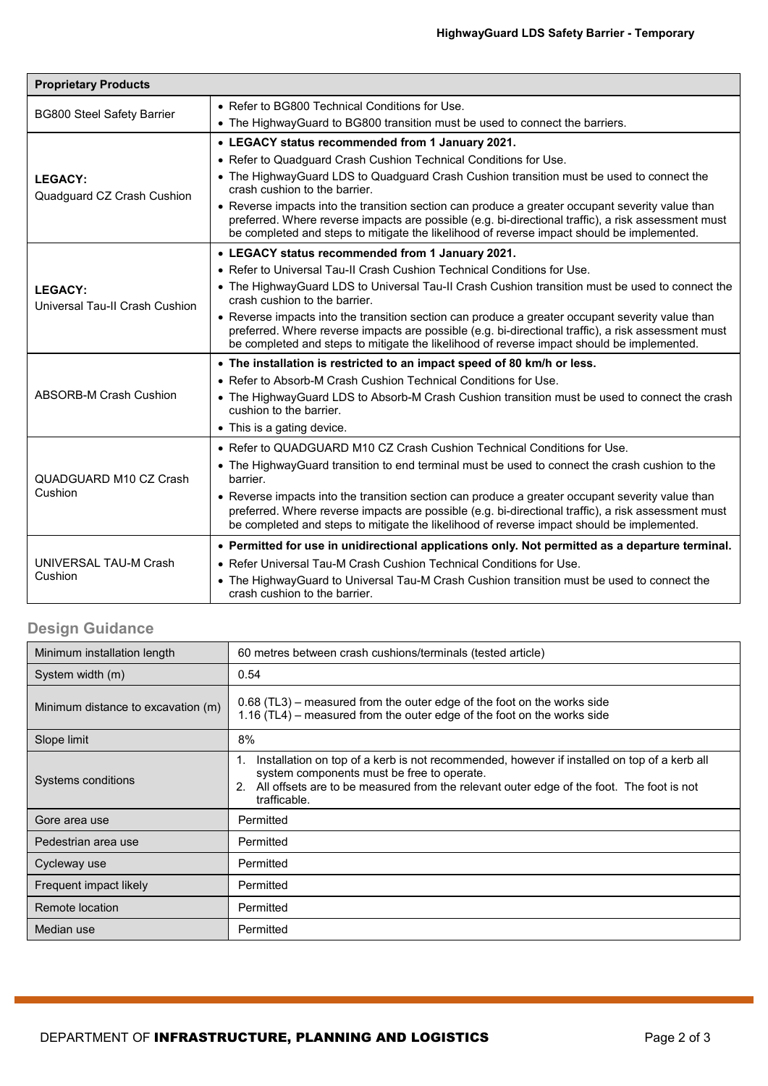| <b>Proprietary Products</b>                      |                                                                                                                                                                                                                                                                                                       |  |  |  |  |
|--------------------------------------------------|-------------------------------------------------------------------------------------------------------------------------------------------------------------------------------------------------------------------------------------------------------------------------------------------------------|--|--|--|--|
| <b>BG800 Steel Safety Barrier</b>                | • Refer to BG800 Technical Conditions for Use.                                                                                                                                                                                                                                                        |  |  |  |  |
|                                                  | • The HighwayGuard to BG800 transition must be used to connect the barriers.                                                                                                                                                                                                                          |  |  |  |  |
|                                                  | • LEGACY status recommended from 1 January 2021.                                                                                                                                                                                                                                                      |  |  |  |  |
|                                                  | • Refer to Quadguard Crash Cushion Technical Conditions for Use.                                                                                                                                                                                                                                      |  |  |  |  |
| <b>LEGACY:</b><br>Quadguard CZ Crash Cushion     | • The HighwayGuard LDS to Quadguard Crash Cushion transition must be used to connect the<br>crash cushion to the barrier.                                                                                                                                                                             |  |  |  |  |
|                                                  | • Reverse impacts into the transition section can produce a greater occupant severity value than<br>preferred. Where reverse impacts are possible (e.g. bi-directional traffic), a risk assessment must<br>be completed and steps to mitigate the likelihood of reverse impact should be implemented. |  |  |  |  |
|                                                  | • LEGACY status recommended from 1 January 2021.                                                                                                                                                                                                                                                      |  |  |  |  |
|                                                  | • Refer to Universal Tau-II Crash Cushion Technical Conditions for Use.                                                                                                                                                                                                                               |  |  |  |  |
| <b>LEGACY:</b><br>Universal Tau-II Crash Cushion | • The HighwayGuard LDS to Universal Tau-II Crash Cushion transition must be used to connect the<br>crash cushion to the barrier.                                                                                                                                                                      |  |  |  |  |
|                                                  | • Reverse impacts into the transition section can produce a greater occupant severity value than<br>preferred. Where reverse impacts are possible (e.g. bi-directional traffic), a risk assessment must<br>be completed and steps to mitigate the likelihood of reverse impact should be implemented. |  |  |  |  |
|                                                  | • The installation is restricted to an impact speed of 80 km/h or less.                                                                                                                                                                                                                               |  |  |  |  |
|                                                  | • Refer to Absorb-M Crash Cushion Technical Conditions for Use.                                                                                                                                                                                                                                       |  |  |  |  |
| ABSORB-M Crash Cushion                           | • The HighwayGuard LDS to Absorb-M Crash Cushion transition must be used to connect the crash<br>cushion to the barrier.                                                                                                                                                                              |  |  |  |  |
|                                                  | • This is a gating device.                                                                                                                                                                                                                                                                            |  |  |  |  |
|                                                  | • Refer to QUADGUARD M10 CZ Crash Cushion Technical Conditions for Use.                                                                                                                                                                                                                               |  |  |  |  |
| QUADGUARD M10 CZ Crash<br>Cushion                | • The HighwayGuard transition to end terminal must be used to connect the crash cushion to the<br>barrier.                                                                                                                                                                                            |  |  |  |  |
|                                                  | • Reverse impacts into the transition section can produce a greater occupant severity value than<br>preferred. Where reverse impacts are possible (e.g. bi-directional traffic), a risk assessment must<br>be completed and steps to mitigate the likelihood of reverse impact should be implemented. |  |  |  |  |
| UNIVERSAL TAU-M Crash<br>Cushion                 | • Permitted for use in unidirectional applications only. Not permitted as a departure terminal.                                                                                                                                                                                                       |  |  |  |  |
|                                                  | • Refer Universal Tau-M Crash Cushion Technical Conditions for Use.                                                                                                                                                                                                                                   |  |  |  |  |
|                                                  | • The HighwayGuard to Universal Tau-M Crash Cushion transition must be used to connect the<br>crash cushion to the barrier.                                                                                                                                                                           |  |  |  |  |

### **Design Guidance**

| Minimum installation length        | 60 metres between crash cushions/terminals (tested article)                                                                                                                                                                                                       |  |  |
|------------------------------------|-------------------------------------------------------------------------------------------------------------------------------------------------------------------------------------------------------------------------------------------------------------------|--|--|
| System width (m)                   | 0.54                                                                                                                                                                                                                                                              |  |  |
| Minimum distance to excavation (m) | 0.68 (TL3) – measured from the outer edge of the foot on the works side<br>1.16 (TL4) – measured from the outer edge of the foot on the works side                                                                                                                |  |  |
| Slope limit                        | 8%                                                                                                                                                                                                                                                                |  |  |
| Systems conditions                 | Installation on top of a kerb is not recommended, however if installed on top of a kerb all<br>1.<br>system components must be free to operate.<br>All offsets are to be measured from the relevant outer edge of the foot. The foot is not<br>2.<br>trafficable. |  |  |
| Gore area use                      | Permitted                                                                                                                                                                                                                                                         |  |  |
| Pedestrian area use                | Permitted                                                                                                                                                                                                                                                         |  |  |
| Cycleway use                       | Permitted                                                                                                                                                                                                                                                         |  |  |
| Frequent impact likely             | Permitted                                                                                                                                                                                                                                                         |  |  |
| Remote location                    | Permitted                                                                                                                                                                                                                                                         |  |  |
| Median use                         | Permitted                                                                                                                                                                                                                                                         |  |  |